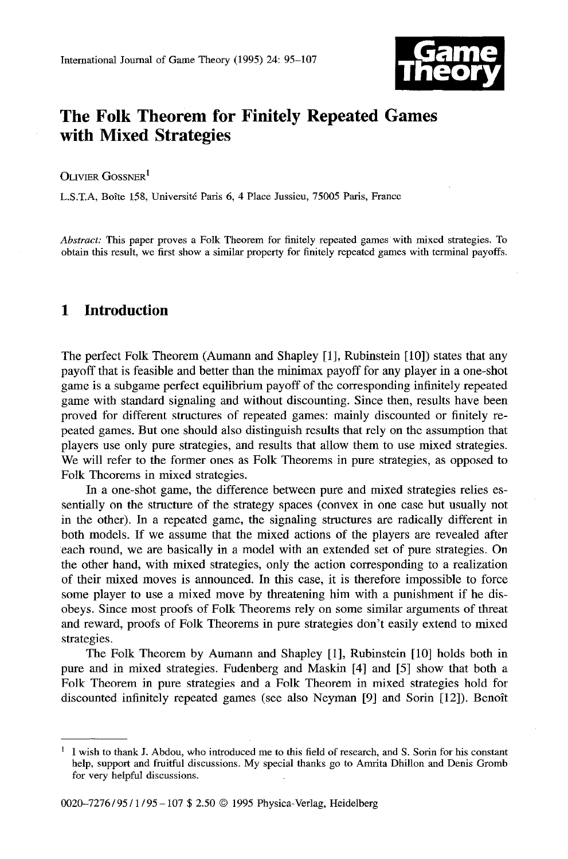

# **The Folk Theorem for Finitely Repeated Games with Mixed Strategies**

OLIVIER GOSSNER<sup>1</sup>

L.S.T.A, Boîte 158, Université Paris 6, 4 Place Jussieu, 75005 Paris, France

*Abstract:* This paper proves a Folk Theorem for finitely repeated games with mixed strategies. To obtain this result, we first show a similar property for finitely repeated games with terminal payoffs.

## **1 Introduction**

The perfect Folk Theorem (Aumann and Shapley [1], Rubinstein [10]) states that any payoff that is feasible and better than the minimax payoff for any player in a one-shot game is a subgame perfect equilibrium payoff of the corresponding infinitely repeated game with standard signaling and without discounting. Since then, results have been proved for different structures of repeated games: mainly discounted or finitely repeated games. But one should also distinguish results that rely on the assumption that players use only pure strategies, and results that allow them to use mixed strategies. We will refer to the former ones as Folk Theorems in pure strategies, as opposed to Folk Theorems in mixed strategies.

In a one-shot game, the difference between pure and mixed strategies relies essentially on the structure of the strategy spaces (convex in one case but usually not in the other). In a repeated game, the signaling structures are radically different in both models. If we assume that the mixed actions of the players are revealed after each round, we are basically in a model with an extended set of pure strategies. On the other hand, with mixed strategies, only the action corresponding to a realization of their mixed moves is announced. In this case, it is therefore impossible to force some player to use a mixed move by threatening him with a punishment if he disobeys. Since most proofs of Folk Theorems rely on some similar arguments of threat and reward, proofs of Folk Theorems in pure strategies don't easily extend to mixed strategies.

The Folk Theorem by Aumann and Shapley [1], Rubinstein [10] holds both in pure and in mixed strategies. Fudenberg and Maskin [4] and [5] show that both a Folk Theorem in pure strategies and a Folk Theorem in mixed strategies hold for discounted infinitely repeated games (see also Neyman  $[9]$  and Sorin  $[12]$ ). Benoît

 $\mathbf{1}$ I wish to thank J. Abdou, who introduced me to this field of research, and S. Sorin for his constant help, support and fruitful discussions. My special thanks go to Amrita Dhillon and Denis Gromb for very helpful discussions.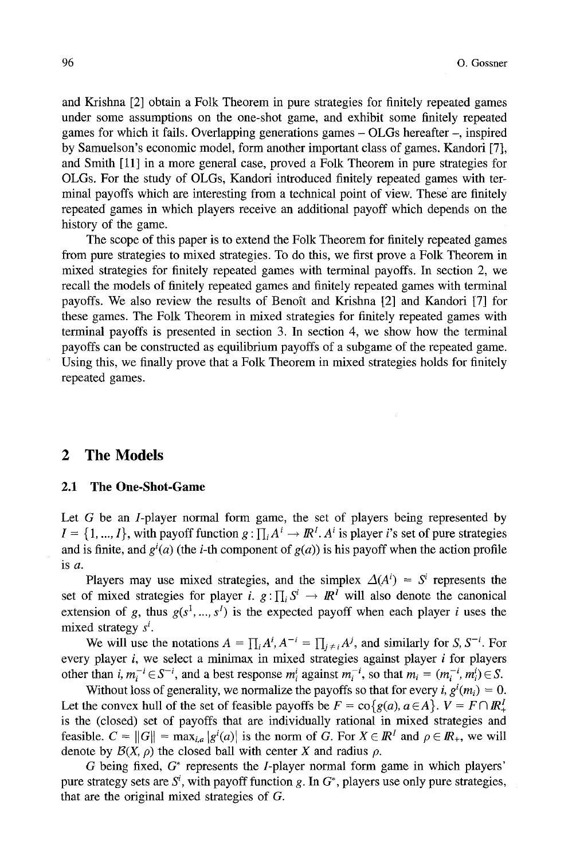and Krishna [2] obtain a Folk Theorem in pure strategies for finitely repeated games under some assumptions on the one-shot game, and exhibit some finitely repeated games for which it fails. Overlapping generations games - OLGs hereafter -, inspired by Samuelson's economic model, form another important class of games. Kandori [7], and Smith [11] in a more general case, proved a Folk Theorem in pure strategies for OLGs. For the study of OLGs, Kandori introduced finitely repeated games with terminal payoffs which are interesting from a technical point of view. These are finitely repeated games in which players receive an additional payoff which depends on the history of the game.

The scope of this paper is to extend the Folk Theorem for finitely repeated games from pure strategies to mixed strategies. To do this, we first prove a Folk Theorem in mixed strategies for finitely repeated games with terminal payoffs. In section 2, we recall the models of finitely repeated games and finitely repeated games with terminal payoffs. We also review the results of Benott and Krishna [2] and Kandori [7] for these games. The Folk Theorem in mixed strategies for finitely repeated games with terminal payoffs is presented in section 3. In section 4, we show how the terminal payoffs can be constructed as equilibrium payoffs of a snbgame of the repeated game. Using this, we finally prove that a Folk Theorem in mixed strategies holds for finitely repeated games.

## **2 The Models**

#### 2.1 The One-Shot-Game

Let  $G$  be an  $I$ -player normal form game, the set of players being represented by  $I = \{1, ..., I\}$ , with payoff function  $g : \prod_i A^i \to \mathbb{R}^I$ . A<sup>i</sup> is player i's set of pure strategies and is finite, and  $g^{i}(a)$  (the *i*-th component of  $g(a)$ ) is his payoff when the action profile is a.

Players may use mixed strategies, and the simplex  $\Delta(A^i) = S^i$  represents the set of mixed strategies for player i.  $g: \prod_i S^i \to \mathbb{R}^i$  will also denote the canonical extension of g, thus  $g(s^1, ..., s^l)$  is the expected payoff when each player i uses the mixed strategy  $s^i$ .

We will use the notations  $A = \prod_i A^i$ ,  $A^{-i} = \prod_{i \neq i} A^j$ , and similarly for *S*,  $S^{-i}$ . For every player i, we select a minimax in mixed strategies against player i for players other than *i,*  $m_i^{-i} \in S^{-i}$ , and a best response  $m_i^{i}$  against  $m_i^{-i}$ , so that  $m_i = (m_i^{-i}, m_i^{i}) \in S$ .

Without loss of generality, we normalize the payoffs so that for every *i*,  $g^{i}(m_{i}) = 0$ . Let the convex hull of the set of feasible payoffs be  $F = \text{co} \{g(a), a \in A\}$ .  $V = F \cap \mathbb{R}^I$ . is the (closed) set of payoffs that are individually rational in mixed strategies and feasible.  $C = ||G|| = \max_{i,a} |g^{i}(a)|$  is the norm of G. For  $X \in \mathbb{R}^{I}$  and  $\rho \in \mathbb{R}_{+}$ , we will denote by  $\mathcal{B}(X, \rho)$  the closed ball with center X and radius  $\rho$ .

G being fixed,  $G^*$  represents the *I*-player normal form game in which players' pure strategy sets are  $S<sup>i</sup>$ , with payoff function g. In  $G<sup>*</sup>$ , players use only pure strategies, that are the original mixed strategies of G.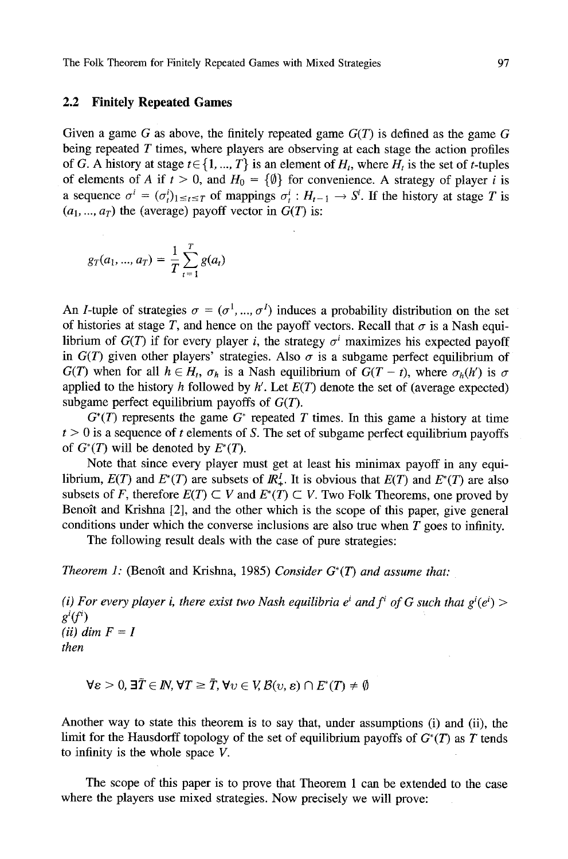#### **2.2 Finitely Repeated Games**

Given a game G as above, the finitely repeated game  $G(T)$  is defined as the game G being repeated  $T$  times, where players are observing at each stage the action profiles of G. A history at stage  $t \in \{1, ..., T\}$  is an element of  $H_t$ , where  $H_t$  is the set of t-tuples of elements of A if  $t > 0$ , and  $H_0 = {\emptyset}$  for convenience. A strategy of player i is a sequence  $\sigma^i = (\sigma_t^i)_{1 \leq t \leq T}$  of mappings  $\sigma_t^i : H_{t-1} \to S^i$ . If the history at stage T is  $(a_1, ..., a_T)$  the (average) payoff vector in  $G(T)$  is:

$$
g_T(a_1, ..., a_T) = \frac{1}{T} \sum_{t=1}^T g(a_t)
$$

An *I*-tuple of strategies  $\sigma = (\sigma^1, ..., \sigma^I)$  induces a probability distribution on the set of histories at stage T, and hence on the payoff vectors. Recall that  $\sigma$  is a Nash equilibrium of  $G(T)$  if for every player *i*, the strategy  $\sigma^{i}$  maximizes his expected payoff in  $G(T)$  given other players' strategies. Also  $\sigma$  is a subgame perfect equilibrium of  $G(T)$  when for all  $h \in H_t$ ,  $\sigma_h$  is a Nash equilibrium of  $G(T - t)$ , where  $\sigma_h(h')$  is  $\sigma$ applied to the history h followed by  $h'$ . Let  $E(T)$  denote the set of (average expected) subgame perfect equilibrium payoffs of  $G(T)$ .

 $G^*(T)$  represents the game  $G^*$  repeated T times. In this game a history at time  $t > 0$  is a sequence of t elements of S. The set of subgame perfect equilibrium payoffs of  $G^*(T)$  will be denoted by  $E^*(T)$ .

Note that since every player must get at least his minimax payoff in any equilibrium,  $E(T)$  and  $E^*(T)$  are subsets of  $\mathbb{R}^I_+$ . It is obvious that  $E(T)$  and  $E^*(T)$  are also subsets of F, therefore  $E(T) \subset V$  and  $E^*(T) \subset V$ . Two Folk Theorems, one proved by Benoît and Krishna [2], and the other which is the scope of this paper, give general conditions under which the converse inclusions are also true when  $T$  goes to infinity.

The following result deals with the case of pure strategies:

*Theorem 1:* (Benoît and Krishna, 1985) *Consider*  $G^*(T)$  *and assume that:* 

*(i) For every player i, there exist two Nash equilibria*  $e^i$  *and*  $f^i$  *of G such that*  $g^i(e^i)$  *> gi(fi)*   $(ii)$  dim  $F = I$ *then* 

 $\forall \varepsilon > 0, \exists \overline{T} \in \mathbb{N}, \forall T \geq \overline{T}, \forall v \in V, \mathcal{B}(v, \varepsilon) \cap E^*(T) \neq \emptyset$ 

Another way to state this theorem is to say that, under assumptions (i) and (ii), the limit for the Hausdorff topology of the set of equilibrium payoffs of  $G^*(T)$  as T tends to infinity is the whole space V.

The scope of this paper is to prove that Theorem 1 can be extended to the case where the players use mixed strategies. Now precisely we will prove: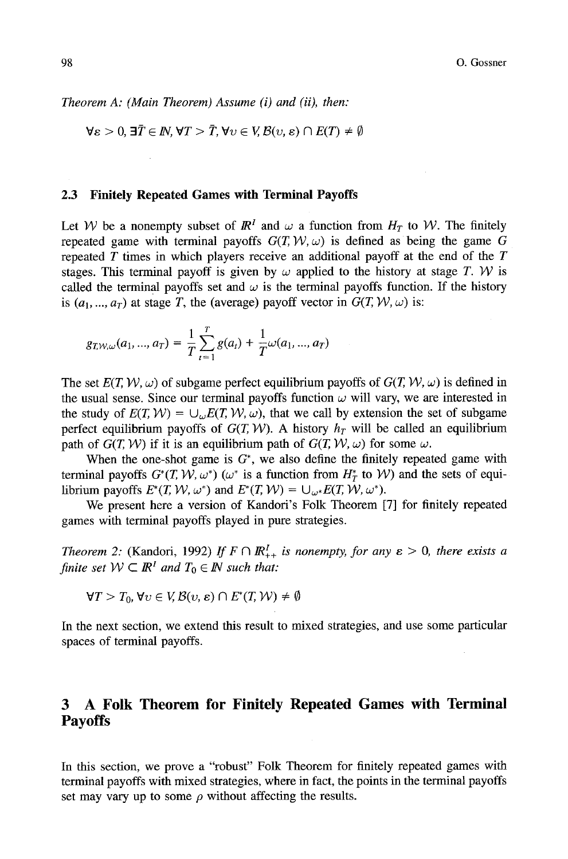*Theorem A: (Main Theorem) Assume (i) and (ii), then:* 

$$
\forall \varepsilon > 0, \exists \overline{T} \in \mathbb{N}, \forall T > \overline{T}, \forall \upsilon \in V, \mathcal{B}(\upsilon, \varepsilon) \cap E(T) \neq \emptyset
$$

#### **2.3 Finitely Repeated Games with Terminal Payoffs**

Let W be a nonempty subset of  $\mathbb{R}^l$  and  $\omega$  a function from  $H_T$  to W. The finitely repeated game with terminal payoffs  $G(T, W, \omega)$  is defined as being the game G repeated  $T$  times in which players receive an additional payoff at the end of the  $T$ stages. This terminal payoff is given by  $\omega$  applied to the history at stage T. W is called the terminal payoffs set and  $\omega$  is the terminal payoffs function. If the history is  $(a_1, ..., a_T)$  at stage T, the (average) payoff vector in  $G(T, W, \omega)$  is:

$$
g_{T,W,\omega}(a_1,...,a_T) = \frac{1}{T} \sum_{t=1}^T g(a_t) + \frac{1}{T} \omega(a_1,...,a_T)
$$

The set  $E(T, W, \omega)$  of subgame perfect equilibrium payoffs of  $G(T, W, \omega)$  is defined in the usual sense. Since our terminal payoffs function  $\omega$  will vary, we are interested in the study of  $E(T, W) = \bigcup_{\omega} E(T, W, \omega)$ , that we call by extension the set of subgame perfect equilibrium payoffs of  $G(T, W)$ . A history  $h_T$  will be called an equilibrium path of  $G(T, W)$  if it is an equilibrium path of  $G(T, W, \omega)$  for some  $\omega$ .

When the one-shot game is  $G^*$ , we also define the finitely repeated game with terminal payoffs  $G^*(T, W, \omega^*)$  ( $\omega^*$  is a function from  $H^*_T$  to W) and the sets of equilibrium payoffs  $E^*(T, \mathcal{W}, \omega^*)$  and  $E^*(T, \mathcal{W}) = \bigcup_{\omega^*} E(T, \mathcal{W}, \omega^*)$ .

We present here a version of Kandori's Folk Theorem [7] for finitely repeated games with terminal payoffs played in pure strategies.

*Theorem 2:* (Kandori, 1992) *If*  $F \cap \mathbb{R}_{++}^l$  *is nonempty, for any*  $\varepsilon > 0$ *, there exists a finite set*  $W \subset \mathbb{R}^l$  *and*  $T_0 \in \mathbb{N}$  *such that:* 

$$
\forall T > T_0, \forall v \in V, \mathcal{B}(v, \varepsilon) \cap E^*(T, \mathcal{W}) \neq \emptyset
$$

In the next section, we extend this result to mixed strategies, and use some particular spaces of terminal payoffs.

## **3 A Folk Theorem for Finitely Repeated Games with Terminal Payoffs**

In this section, we prove a "robust" Folk Theorem for finitely repeated games with terminal payoffs with mixed strategies, where in fact, the points in the terminal payoffs set may vary up to some  $\rho$  without affecting the results.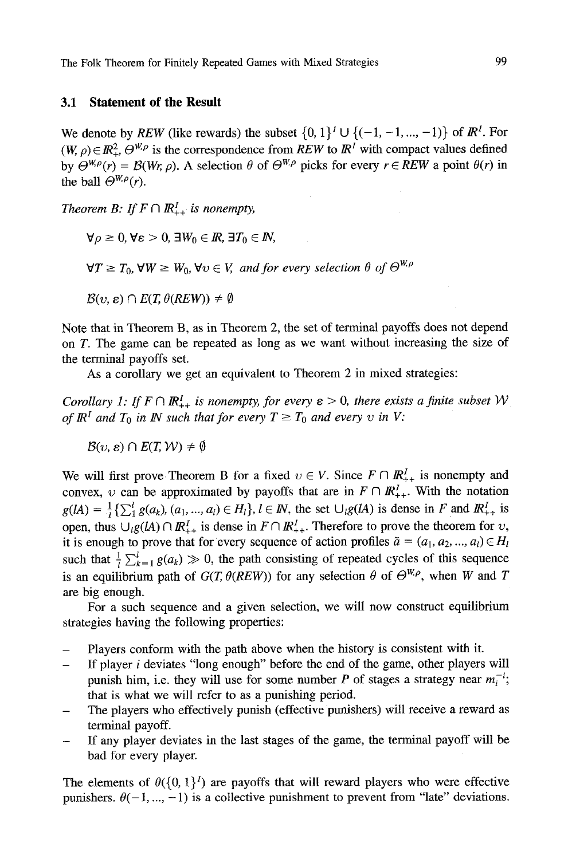#### **3.1 Statement of the Result**

We denote by *REW* (like rewards) the subset  $\{0, 1\}^I \cup \{(-1, -1, ..., -1)\}$  of  $\mathbb{R}^I$ . For  $(W, \rho) \in \mathbb{R}^2_+$ ,  $\Theta^{W,\rho}$  is the correspondence from *REW* to  $\mathbb{R}^l$  with compact values defined by  $\Theta^{W,\rho}(r) = \mathcal{B}(Wr,\rho)$ . A selection  $\theta$  of  $\Theta^{W,\rho}$  picks for every  $r \in REW$  a point  $\theta(r)$  in the ball  $\Theta^{W,\rho}(r)$ .

*Theorem B: If*  $F \cap \mathbb{R}^l_{++}$  *is nonempty,* 

 $\forall \rho \geq 0, \forall \varepsilon > 0, \exists W_0 \in \mathbb{R}, \exists T_0 \in \mathbb{N},$ 

 $\forall T \geq T_0$ ,  $\forall W \geq W_0$ ,  $\forall v \in V$ , and for every selection  $\theta$  of  $\Theta^{W,\rho}$ 

 $\mathcal{B}(v, \varepsilon) \cap E(T, \theta(REW)) \neq \emptyset$ 

Note that in Theorem B, as in Theorem 2, the set of terminal payoffs does not depend on T. The game can be repeated as long as we want without increasing the size of the terminal payoffs set.

As a corollary we get an equivalent to Theorem 2 in mixed strategies:

*Corollary 1: If*  $F \cap \mathbb{R}^l_+$  *is nonempty, for every*  $\varepsilon > 0$ *, there exists a finite subset* W *of*  $\mathbb{R}^l$  and  $T_0$  in  $\mathbb{N}$  such that for every  $T \geq T_0$  and every v in V:

 $B(v, \varepsilon) \cap E(T, \mathcal{W}) \neq \emptyset$ 

We will first prove Theorem B for a fixed  $v \in V$ . Since  $F \cap \mathbb{R}^l_{++}$  is nonempty and convex, v can be approximated by payoffs that are in  $F \cap \mathbb{R}_{++}^l$ . With the notation  $g(A) = \frac{1}{l} \{\sum_{i=1}^{l} g(a_k), (a_1, ..., a_l) \in H_l\}, l \in \mathbb{N}$ , the set  $\bigcup_{l} g(lA)$  is dense in F and  $\mathbb{R}^l_{++}$  is open, thus  $\bigcup_{i} g(lA) \cap I\!\!R_{++}^I$  is dense in  $F \cap I\!\!R_{++}^I$ . Therefore to prove the theorem for v, it is enough to prove that for every sequence of action profiles  $\tilde{a} = (a_1, a_2, ..., a_l) \in H_l$ such that  $\frac{1}{i} \sum_{k=1}^{l} g(a_k) \gg 0$ , the path consisting of repeated cycles of this sequence is an equilibrium path of  $G(T, \theta(REW))$  for any selection  $\theta$  of  $\Theta^{W,\rho}$ , when W and T are big enough.

For a such sequence and a given selection, we will now construct equilibrium strategies having the following properties:

- Players conform with the path above when the history is consistent with it.
- If player i deviates "long enough" before the end of the game, other players will punish him, i.e. they will use for some number P of stages a strategy near  $m_i^{-i}$ ; that is what we will refer to as a punishing period.
- The players who effectively punish (effective punishers) will receive a reward as terminal payoff.
- If any player deviates in the last stages of the game, the terminal payoff will be bad for every player.

The elements of  $\theta({0, 1}^I)$  are payoffs that will reward players who were effective punishers.  $\theta(-1, ..., -1)$  is a collective punishment to prevent from "late" deviations.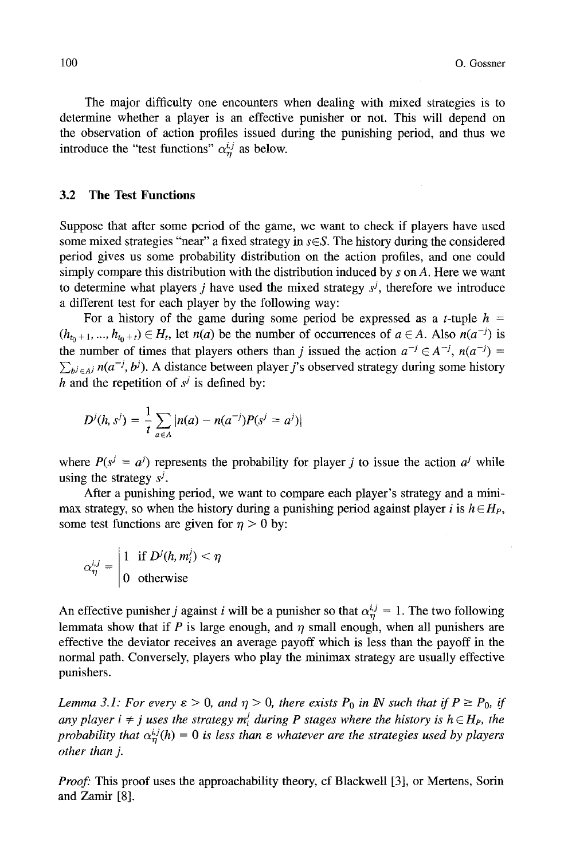The major difficulty one encounters when dealing with mixed strategies is to determine whether a player is an effective punisher or not. This will depend on the observation of action profiles issued during the punishing period, and thus we introduce the "test functions"  $\alpha_n^{i,j}$  as below.

#### **3.2 The Test Functions**

Suppose that after some period of the game, we want to check if players have used some mixed strategies "near" a fixed strategy in  $s \in S$ . The history during the considered period gives us some probability distribution on the action profiles, and one could simply compare this distribution with the distribution induced by  $s$  on  $A$ . Here we want to determine what players *i* have used the mixed strategy  $s^j$ , therefore we introduce a different test for each player by the following way:

For a history of the game during some period be expressed as a *t*-tuple  $h =$  $(h_{t_0+1}, ..., h_{t_0+t}) \in H_t$ , let *n(a)* be the number of occurrences of  $a \in A$ . Also *n(a<sup>-j</sup>)* is the number of times that players others than j issued the action  $a^{-j} \in A^{-j}$ ,  $n(a^{-j}) =$  $\sum_{b^j \in A^j} n(a^{-j}, b^j)$ . A distance between player *j*'s observed strategy during some history h and the repetition of  $s^j$  is defined by:

$$
D^{j}(h, s^{j}) = \frac{1}{t} \sum_{a \in A} |n(a) - n(a^{-j})P(s^{j} = a^{j})|
$$

where  $P(s^j = a^j)$  represents the probability for player *j* to issue the action  $a^j$  while using the strategy  $s^j$ .

After a punishing period, we want to compare each player's strategy and a minimax strategy, so when the history during a punishing period against player i is  $h \in H_P$ , some test functions are given for  $\eta > 0$  by:

$$
\alpha_{\eta}^{i,j} = \begin{vmatrix} 1 & \text{if } D^j(h, m_i^j) < \eta \\ 0 & \text{otherwise} \end{vmatrix}
$$

An effective punisher j against i will be a punisher so that  $\alpha_n^{i,j} = 1$ . The two following lemmata show that if  $P$  is large enough, and  $\eta$  small enough, when all punishers are effective the deviator receives an average payoff which is less than the payoff in the normal path. Conversely, players who play the minimax strategy are usually effective punishers.

*Lemma 3.1: For every*  $\varepsilon > 0$ *, and*  $\eta > 0$ *, there exists P<sub>0</sub> in IN such that if*  $P \ge P_0$ *, if any player i*  $\neq j$  *uses the strategy m*<sup>*i</sup></sup> during P stages where the history is*  $h \in H_P$ *, the*</sup> probability that  $\alpha_{\eta}^{i,j}(h) = 0$  is less than  $\varepsilon$  whatever are the strategies used by players" *other than j.* 

*Proof:* This proof uses the approachability theory, cf Blackwell [3], or Mertens, Sorin and Zamir [8].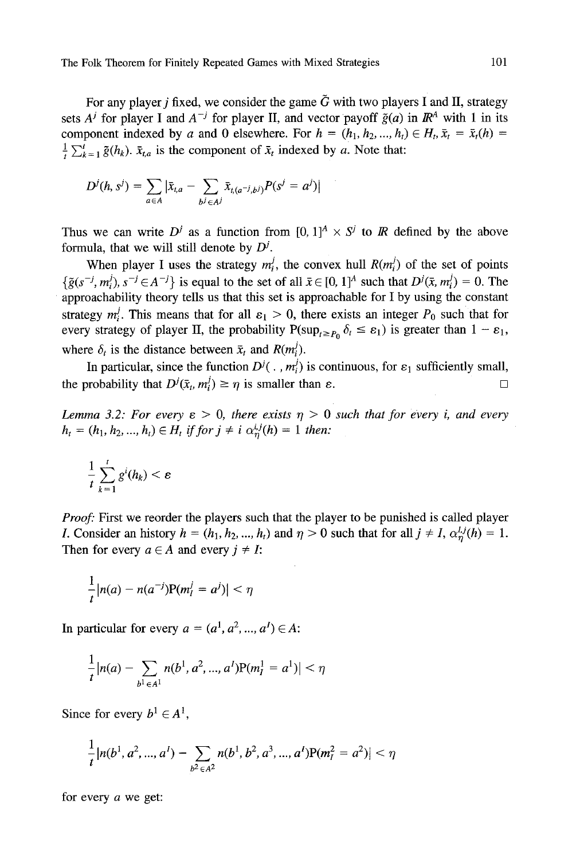For any player *j* fixed, we consider the game  $\tilde{G}$  with two players I and II, strategy sets  $A^j$  for player I and  $A^{-j}$  for player II, and vector payoff  $\tilde{g}(a)$  in  $\mathbb{R}^A$  with 1 in its component indexed by a and 0 elsewhere. For  $h = (h_1, h_2, ..., h_t) \in H_t$ ,  $\bar{x}_t = \bar{x}_t(h) =$  $\frac{1}{t} \sum_{k=1}^{t} \tilde{g}(h_k)$ .  $\bar{x}_{t,a}$  is the component of  $\bar{x}_t$  indexed by a. Note that:

$$
D^{j}(h, s^{j}) = \sum_{a \in A} |\bar{x}_{t, a} - \sum_{b^{j} \in A^{j}} \bar{x}_{t, (a^{-j}, b^{j})} P(s^{j} = a^{j})|
$$

Thus we can write  $D^j$  as a function from  $[0, 1]^A \times S^j$  to  $\mathbb R$  defined by the above formula, that we will still denote by  $D^{j}$ .

When player I uses the strategy  $m_i^j$ , the convex hull  $R(m_i^j)$  of the set of points  $\{\tilde{g}(s^{-j}, m_i^j), s^{-j} \in A^{-j}\}\$ is equal to the set of all  $\bar{x} \in [0, 1]^A$  such that  $D^j(\bar{x}, m_i^j) = 0$ . The approachability theory tells us that this set is approachable for I by using the constant strategy  $m_i^j$ . This means that for all  $\varepsilon_1 > 0$ , there exists an integer  $P_0$  such that for every strategy of player II, the probability  $P(\sup_{t\geq P_0} \delta_t \leq \varepsilon_1)$  is greater than  $1 - \varepsilon_1$ , where  $\delta_t$  is the distance between  $\bar{x}_t$  and  $R(m_t^j)$ .

In particular, since the function  $D^{j}(\cdot, m_{i}^{j})$  is continuous, for  $\varepsilon_1$  sufficiently small, the probability that  $D^j(\bar{x}_t, m_t^j) \ge \eta$  is smaller than  $\varepsilon$ .

*Lemma 3.2: For every*  $\varepsilon > 0$ *, there exists*  $\eta > 0$  *such that for every i, and every*  $h_t = (h_1, h_2, ..., h_t) \in H_t$  if for  $j \neq i$   $\alpha_n^{i,j}(h) = 1$  then:

$$
\frac{1}{t}\sum_{k=1}^t g^i(h_k) < \varepsilon
$$

*Proof:* First we reorder the players such that the player to be punished is called player *I*. Consider an history  $h = (h_1, h_2, ..., h_t)$  and  $\eta > 0$  such that for all  $j \neq I$ ,  $\alpha_n^{l,j}(h) = 1$ . Then for every  $a \in A$  and every  $j \neq I$ :

$$
\frac{1}{t}|n(a)-n(a^{-j})P(m_I^j=a^j)|<\eta
$$

In particular for every  $a = (a^1, a^2, ..., a^I) \in A$ :

$$
\frac{1}{t}|n(a)-\sum_{b^1\in A^1}n(b^1,a^2,...,a^1)P(m_i^1=a^1)|<\eta
$$

Since for every  $b^1 \in A^1$ ,

$$
\frac{1}{t} |n(b^1, a^2, ..., a^I) - \sum_{b^2 \in A^2} n(b^1, b^2, a^3, ..., a^I) P(m_I^2 = a^2)| < \eta
$$

for every a we get: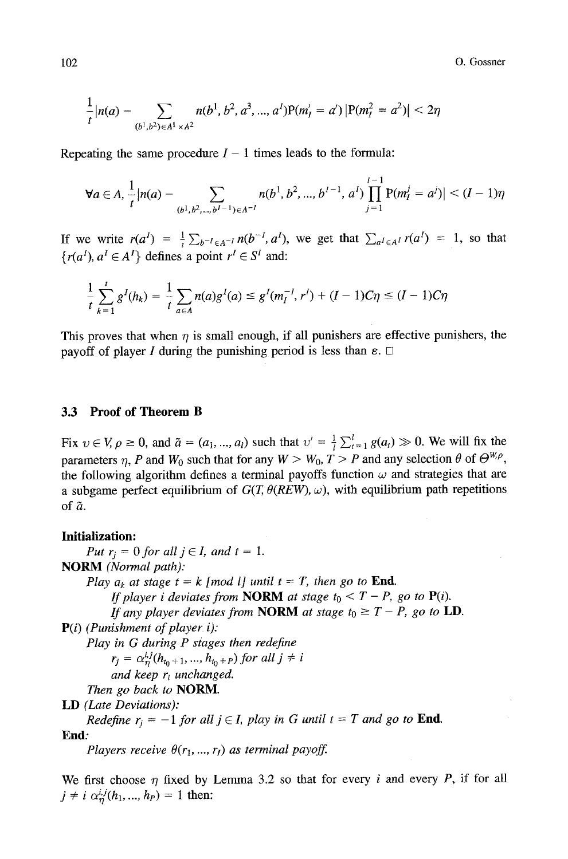102 O. Gossner

$$
\frac{1}{t}|n(a) - \sum_{(b^1, b^2) \in A^1 \times A^2} n(b^1, b^2, a^3, ..., a^1)P(m_1' = a^1)|P(m_1^2 = a^2)| < 2\eta
$$

Repeating the same procedure  $I - 1$  times leads to the formula:

$$
\forall a \in A, \frac{1}{t} |n(a) - \sum_{(b^1, b^2, \dots, b^{l-1}) \in A^{-l}} n(b^1, b^2, \dots, b^{l-1}, a^l) \prod_{j=1}^{l-1} P(m_j^j = a^j) | < (l-1)\eta
$$

If we write  $r(a^I) = \frac{1}{i} \sum_{b^{-I} \in A^{-I}} n(b^{-I}, a^I)$ , we get that  $\sum_{a^I \in A^I} r(a^I) = 1$ , so that  ${r(a<sup>I</sup>), a<sup>I</sup> \in A<sup>I</sup>}$  defines a point  $r<sup>I</sup> \in S<sup>I</sup>$  and:

$$
\frac{1}{t}\sum_{k=1}^{t}g^{I}(h_{k})=\frac{1}{t}\sum_{a\in A}n(a)g^{I}(a)\leq g^{I}(m_{I}^{-1},r^{I})+(I-1)C\eta\leq (I-1)C\eta
$$

This proves that when  $\eta$  is small enough, if all punishers are effective punishers, the payoff of player I during the punishing period is less than  $\varepsilon$ .  $\Box$ 

#### **3.3 Proof of Theorem B**

Fix  $v \in V$ ,  $\rho \ge 0$ , and  $\tilde{a} = (a_1, ..., a_l)$  such that  $v' = \frac{1}{i} \sum_{t=1}^{l} g(a_t) \gg 0$ . We will fix the parameters  $\eta$ , P and  $W_0$  such that for any  $W > W_0$ ,  $T > P$  and any selection  $\theta$  of  $\Theta^{W,\rho}$ , the following algorithm defines a terminal payoffs function  $\omega$  and strategies that are a subgame perfect equilibrium of  $G(T, \theta(REW), \omega)$ , with equilibrium path repetitions of  $\tilde{a}$ .

#### **Initialization:**

*Put*  $r_i = 0$  *for all*  $j \in I$ *, and t = 1.* NORM *(Normal path): Play*  $a_k$  *at stage t = k [mod l] until t = T, then go to* **End.** *If player i deviates from NORM at stage*  $t_0 < T - P$ *, go to P(i). If any player deviates from NORM at stage t<sub>0</sub>*  $\geq$  *T – P, go to LD.* P(i) *(Punishment of player i): Play in G during P siages then redefine*   $r_j = \alpha_n^{i,j} (h_{t_0+1}, ..., h_{t_0+P})$  for all  $j \neq i$ *and keep ri unchanged. Then go back to* NORM. LD *(Late Deviations): Redefine*  $r_i = -1$  *for all*  $j \in I$ *, play in G until*  $t = T$  *and go to End.* **End:**  *Players receive*  $\theta(r_1, ..., r_l)$  *as terminal payoff.* 

We first choose  $\eta$  fixed by Lemma 3.2 so that for every i and every P, if for all  $j \neq i \alpha_n^{i,j} (h_1, ..., h_p) = 1$  then: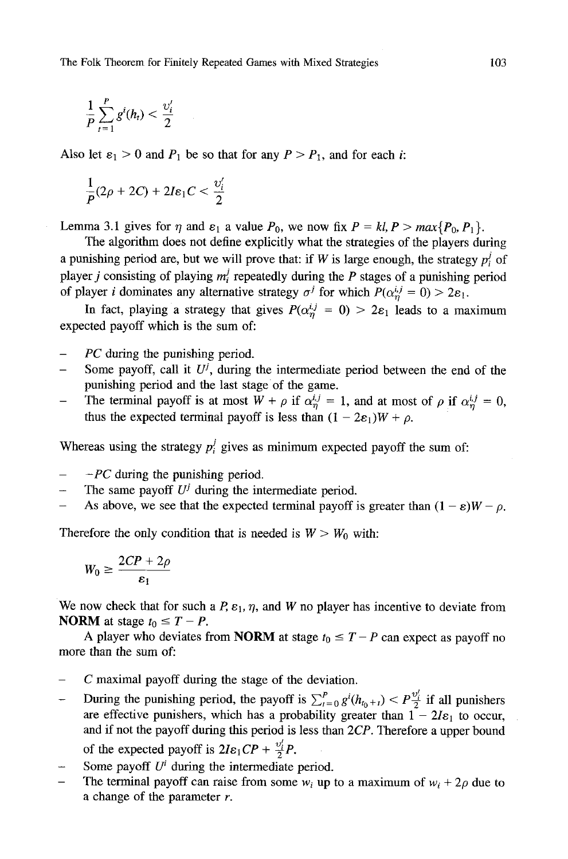$$
\frac{1}{P}\sum_{t=1}^P g^i(h_t) < \frac{\upsilon'_i}{2}
$$

Also let  $\varepsilon_1 > 0$  and  $P_1$  be so that for any  $P > P_1$ , and for each i:

$$
\frac{1}{P}(2\rho+2C)+2I\epsilon_1C<\frac{\upsilon'_i}{2}
$$

Lemma 3.1 gives for  $\eta$  and  $\varepsilon_1$  a value  $P_0$ , we now fix  $P = kl$ ,  $P > max\{P_0, P_1\}$ .

The algorithm does not define explicitly what the strategies of the players during a punishing period are, but we will prove that: if W is large enough, the strategy  $p_i^j$  of player *i* consisting of playing  $m_i^j$  repeatedly during the P stages of a punishing period of player *i* dominates any alternative strategy  $\sigma^{j}$  for which  $P(\alpha^{i,j}_{n} = 0) > 2\varepsilon_1$ .

In fact, playing a strategy that gives  $P(\alpha_n^{i,j} = 0) > 2\varepsilon_1$  leads to a maximum expected payoff which is the sum of:

- *PC* during the punishing period.
- Some payoff, call it  $U^j$ , during the intermediate period between the end of the punishing period and the last stage of the game.
- The terminal payoff is at most  $W + \rho$  if  $\alpha_n^{i,j} = 1$ , and at most of  $\rho$  if  $\alpha_n^{i,j} = 0$ , thus the expected terminal payoff is less than  $(1 - 2\varepsilon_1)W + \rho$ .

Whereas using the strategy  $p_i^j$  gives as minimum expected payoff the sum of:

- *-PC* during the punishing period.
- The same payoff  $U^j$  during the intermediate period.
- As above, we see that the expected terminal payoff is greater than  $(1 \varepsilon)W \rho$ .

Therefore the only condition that is needed is  $W > W_0$  with:

$$
W_0 \geq \frac{2CP + 2\rho}{\varepsilon_1}
$$

We now check that for such a  $P$ ,  $\varepsilon_1$ ,  $\eta$ , and W no player has incentive to deviate from **NORM** at stage  $t_0 \leq T - P$ .

A player who deviates from **NORM** at stage  $t_0 \leq T - P$  can expect as payoff no more than the sum of:

- C maximal payoff during the stage of the deviation.
- During the punishing period, the payoff is  $\sum_{t=0}^{p} g^{i}(h_{t_0+t}) < P^{\frac{U'}{2}}_{\frac{1}{2}}$  if all punishers are effective punishers, which has a probability greater than  $1 - 2I\varepsilon_1$  to occur, and if not the payoff during this period is less than *2CP.* Therefore a upper bound of the expected payoff is  $2I\varepsilon_1 CP + \frac{v'_i}{2}P$ .
- Some payoff  $U^i$  during the intermediate period.
- The terminal payoff can raise from some  $w_i$  up to a maximum of  $w_i + 2\rho$  due to a change of the parameter r.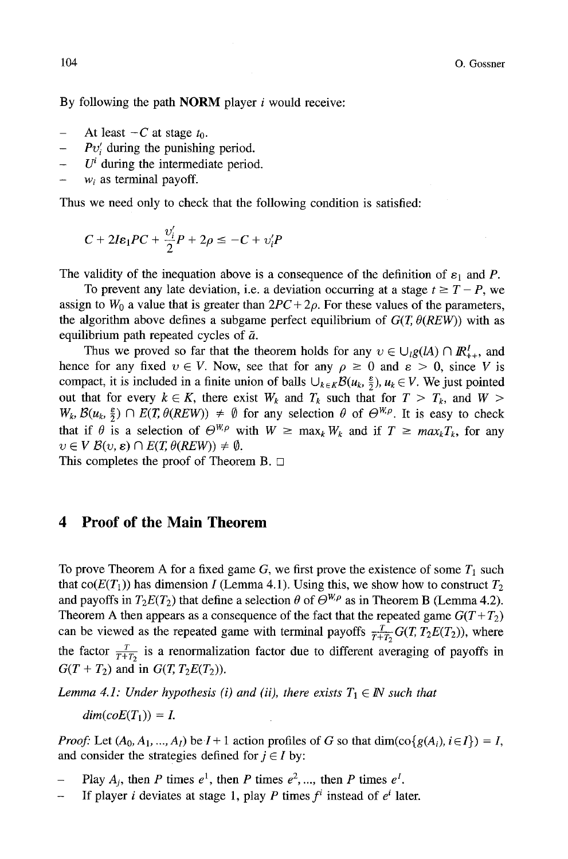By following the path **NORM** player  $i$  would receive:

- At least  $-C$  at stage  $t_0$ .
- *Pv;* during the punishing period.
- $U^i$  during the intermediate period.
- $w_i$  as terminal payoff.

Thus we need only to check that the following condition is satisfied:

$$
C + 2I\varepsilon_1 PC + \frac{v'_i}{2}P + 2\rho \le -C + v'_iP
$$

The validity of the inequation above is a consequence of the definition of  $\varepsilon_1$  and P.

To prevent any late deviation, i.e. a deviation occurring at a stage  $t \geq T - P$ , we assign to  $W_0$  a value that is greater than  $2PC + 2\rho$ . For these values of the parameters, the algorithm above defines a subgame perfect equilibrium of  $G(T, \theta(REW))$  with as equilibrium path repeated cycles of  $\tilde{a}$ .

Thus we proved so far that the theorem holds for any  $v \in \bigcup_{l} g(lA) \cap I\!\!R_{++}^l$ , and hence for any fixed  $v \in V$ . Now, see that for any  $\rho \ge 0$  and  $\varepsilon > 0$ , since V is compact, it is included in a finite union of balls  $\bigcup_{k\in K} \mathcal{B}(u_k, \frac{\varepsilon}{2}), u_k \in V$ . We just pointed out that for every  $k \in K$ , there exist  $W_k$  and  $T_k$  such that for  $T > T_k$ , and  $W >$  $W_k, \mathcal{B}(u_k, \frac{\varepsilon}{2}) \cap E(T, \theta(REW)) \neq \emptyset$  for any selection  $\theta$  of  $\Theta^{W,\rho}$ . It is easy to check that if  $\theta$  is a selection of  $\Theta^{W,\rho}$  with  $W \ge \max_k W_k$  and if  $T \ge \max_k T_k$ , for any  $v \in V$   $\mathcal{B}(v, \varepsilon) \cap E(T, \theta(REW)) \neq \emptyset$ .

This completes the proof of Theorem B.  $\Box$ 

### **4 Proof of the Main Theorem**

To prove Theorem A for a fixed game  $G$ , we first prove the existence of some  $T_1$  such that co( $E(T_1)$ ) has dimension I (Lemma 4.1). Using this, we show how to construct  $T_2$ and payoffs in  $T_2E(T_2)$  that define a selection  $\theta$  of  $\Theta^{W,\rho}$  as in Theorem B (Lemma 4.2). Theorem A then appears as a consequence of the fact that the repeated game  $G(T+T_2)$ can be viewed as the repeated game with terminal payoffs  $\frac{T}{T+T_2} G(T, T_2 E(T_2))$ , where the factor  $\frac{T}{T+T_2}$  is a renormalization factor due to different averaging of payoffs in  $G(T + T_2)$  and in  $G(T, T_2E(T_2))$ .

*Lemma 4.1: Under hypothesis (i) and (ii), there exists*  $T_1 \in \mathbb{N}$  such that

 $dim(coE(T_1)) = I$ 

*Proof:* Let  $(A_0, A_1, ..., A_l)$  be  $I+1$  action profiles of G so that  $\dim(\text{co}\{g(A_i), i \in I\}) = I$ , and consider the strategies defined for  $j \in I$  by:

- Play  $A_j$ , then P times  $e^1$ , then P times  $e^2$ , ..., then P times  $e^1$ .
- **-** If player *i* deviates at stage 1, play *P* times  $f^i$  instead of  $e^i$  later.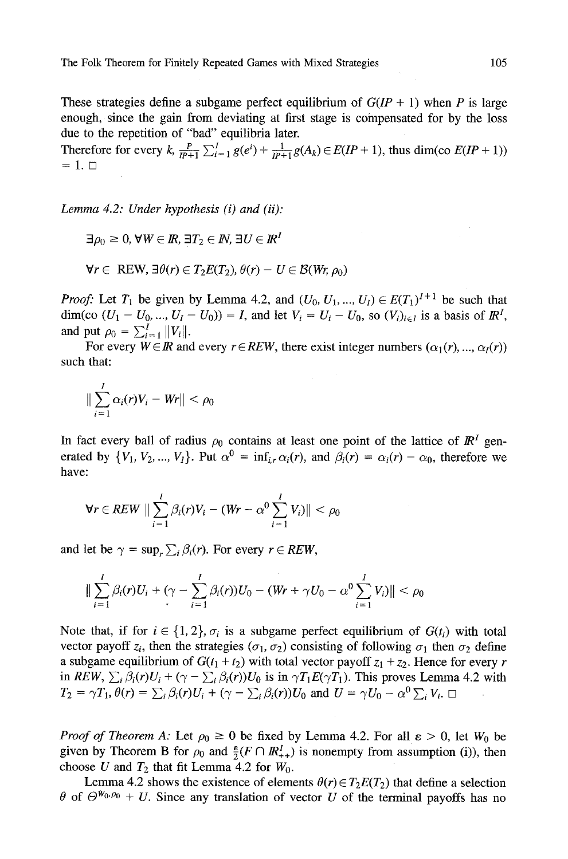These strategies define a subgame perfect equilibrium of  $G(IP + 1)$  when P is large enough, since the gain from deviating at first stage is compensated for by the loss due to the repetition of "bad" equilibria later.

Therefore for every k,  $\frac{P}{IP+1} \sum_{i=1}^{I} g(e^i) + \frac{1}{IP+1} g(A_k) \in E(IP + 1)$ , thus dim(co  $E(IP + 1)$ )  $=1.$ 

*Lemma 4.2: Under hypothesis (i) and (ii):* 

 $\exists \rho_0 \geq 0, \forall W \in \mathbb{R}, \exists T_2 \in \mathbb{N}, \exists U \in \mathbb{R}^T$ 

$$
\forall r \in \text{REW}, \exists \theta(r) \in T_2 E(T_2), \theta(r) - U \in \mathcal{B}(Wr, \rho_0)
$$

*Proof:* Let  $T_1$  be given by Lemma 4.2, and  $(U_0, U_1, ..., U_l) \in E(T_1)^{I+1}$  be such that dim(co  $(U_1 - U_0, ..., U_l - U_0) = I$ , and let  $V_i = U_i - U_0$ , so  $(V_i)_{i \in I}$  is a basis of  $\mathbb{R}^l$ , and put  $\rho_0 = \sum_{i=1}^I ||V_i||$ .

For every  $W \in \mathbb{R}$  and every  $r \in REW$ , there exist integer numbers  $(\alpha_1(r), ..., \alpha_l(r))$ such that:

$$
\|\sum_{i=1}^l \alpha_i(r)V_i - Wr\| < \rho_0
$$

In fact every ball of radius  $\rho_0$  contains at least one point of the lattice of  $\mathbb{R}^1$  generated by  $\{V_1, V_2, ..., V_l\}$ . Put  $\alpha^0 = \inf_{i \in \mathcal{C}} \alpha_i(r)$ , and  $\beta_i(r) = \alpha_i(r) - \alpha_0$ , therefore we have:

$$
\forall r \in REW \parallel \sum_{i=1}^{I} \beta_i(r) V_i - (Wr - \alpha^0 \sum_{i=1}^{I} V_i) \parallel < \rho_0
$$

and let be  $\gamma = \sup_{r} \sum_i \beta_i(r)$ . For every  $r \in REW$ ,

$$
\|\sum_{i=1}^I \beta_i(r)U_i + (\gamma - \sum_{i=1}^I \beta_i(r))U_0 - (Wr + \gamma U_0 - \alpha^0 \sum_{i=1}^I V_i)\| < \rho_0
$$

Note that, if for  $i \in \{1, 2\}$ ,  $\sigma_i$  is a subgame perfect equilibrium of  $G(t_i)$  with total vector payoff  $z_i$ , then the strategies ( $\sigma_1$ ,  $\sigma_2$ ) consisting of following  $\sigma_1$  then  $\sigma_2$  define a subgame equilibrium of  $G(t_1 + t_2)$  with total vector payoff  $z_1 + z_2$ . Hence for every r in *REW*,  $\sum_i \beta_i(r)U_i + (\gamma - \sum_i \beta_i(r))U_0$  is in  $\gamma T_1 E(\gamma T_1)$ . This proves Lemma 4.2 with  $T_2 = \gamma T_1, \theta(r) = \sum_i \beta_i(r)U_i + (\gamma - \sum_i \beta_i(r))U_0$  and  $U = \gamma U_0 - \alpha^0 \sum_i V_i$ .

*Proof of Theorem A:* Let  $\rho_0 \ge 0$  be fixed by Lemma 4.2. For all  $\varepsilon > 0$ , let  $W_0$  be given by Theorem B for  $\rho_0$  and  $\frac{\varepsilon}{2}(F \cap \mathbb{R}^l_{++})$  is nonempty from assumption (i)), then choose U and  $T_2$  that fit Lemma 4.2 for  $W_0$ .

Lemma 4.2 shows the existence of elements  $\theta(r) \in T_2E(T_2)$  that define a selection  $\theta$  of  $\Theta^{W_0,\rho_0} + U$ . Since any translation of vector U of the terminal payoffs has no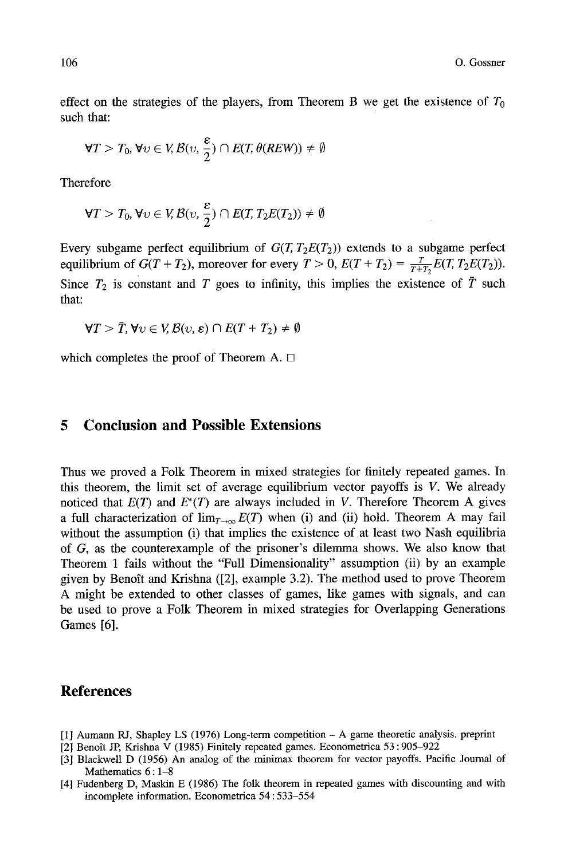effect on the strategies of the players, from Theorem B we get the existence of  $T_0$ such that:

$$
\forall T > T_0, \forall v \in V, \mathcal{B}(v, \frac{\varepsilon}{2}) \cap E(T, \theta(REW)) \neq \emptyset
$$

Therefore

$$
\forall T > T_0, \forall v \in V, \mathcal{B}(v, \frac{\varepsilon}{2}) \cap E(T, T_2E(T_2)) \neq \emptyset
$$

Every subgame perfect equilibrium of  $G(T, T_2E(T_2))$  extends to a subgame perfect equilibrium of  $G(T + T_2)$ , moreover for every  $T > 0$ ,  $E(T + T_2) = \frac{T}{T + T_2}E(T, T_2E(T_2))$ . Since  $T_2$  is constant and T goes to infinity, this implies the existence of  $\overline{T}$  such that:

$$
\forall T > \overline{T}, \forall \upsilon \in V, \mathcal{B}(\upsilon, \varepsilon) \cap E(T + T_2) \neq \emptyset
$$

which completes the proof of Theorem A.  $\Box$ 

### **5 Conclusion and Possible Extensions**

Thus we proved a Folk Theorem in mixed strategies for finitely repeated games. In this theorem, the limit set of average equilibrium vector payoffs is V. We already noticed that  $E(T)$  and  $E^*(T)$  are always included in V. Therefore Theorem A gives a full characterization of  $\lim_{T\to\infty} E(T)$  when (i) and (ii) hold. Theorem A may fail without the assumption (i) that implies the existence of at least two Nash equilibria of G, as the counterexample of the prisoner's dilemma shows. We also know that Theorem 1 fails without the "Full Dimensionality" assumption (ii) by an example given by Benoît and Krishna ([2], example 3.2). The method used to prove Theorem A might be extended to other classes of games, like games with signals, and can be used to prove a Folk Theorem in mixed strategies for Overlapping Generations Games [6].

#### **References**

- [1] Aumann RJ, Shapley LS (1976) Long-term competition A game theoretic analysis, preprint
- [2] Benoît JP, Krishna V (1985) Finitely repeated games. Econometrica 53:905-922
- [3l Blackwell D (1956) An analog of the minimax theorem for vector payoffs. Pacific Journal of Mathematics  $6:1-8$
- [4] Fudenberg D, Maskin E (1986) The folk theorem in repeated games with discounting and with incomplete information. Econometrica 54 : 533-554